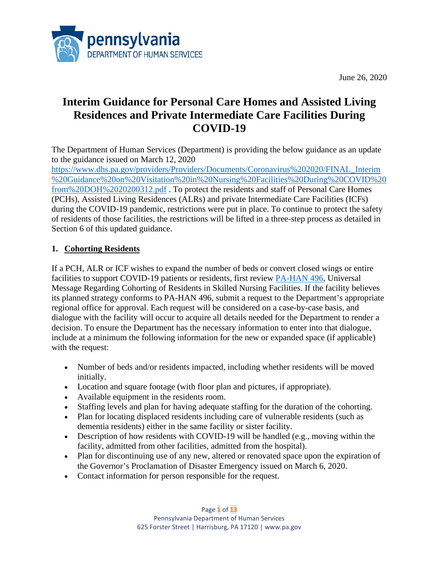

June 26, 2020

# **Interim Guidance for Personal Care Homes and Assisted Living Residences and Private Intermediate Care Facilities During COVID-19**

The Department of Human Services (Department) is providing the below guidance as an update to the guidance issued on March 12, 2020

[https://www.dhs.pa.gov/providers/Providers/Documents/Coronavirus%202020/FINAL\\_Interim](https://www.dhs.pa.gov/providers/Providers/Documents/Coronavirus%202020/FINAL_Interim%20Guidance%20on%20Visitation%20in%20Nursing%20Facilities%20During%20COVID%20from%20DOH%2020200312.pdf) [%20Guidance%20on%20Visitation%20in%20Nursing%20Facilities%20During%20COVID%20](https://www.dhs.pa.gov/providers/Providers/Documents/Coronavirus%202020/FINAL_Interim%20Guidance%20on%20Visitation%20in%20Nursing%20Facilities%20During%20COVID%20from%20DOH%2020200312.pdf) [from%20DOH%2020200312.pdf](https://www.dhs.pa.gov/providers/Providers/Documents/Coronavirus%202020/FINAL_Interim%20Guidance%20on%20Visitation%20in%20Nursing%20Facilities%20During%20COVID%20from%20DOH%2020200312.pdf) . To protect the residents and staff of Personal Care Homes (PCHs), Assisted Living Residences (ALRs) and private Intermediate Care Facilities (ICFs) during the COVID-19 pandemic, restrictions were put in place. To continue to protect the safety of residents of those facilities, the restrictions will be lifted in a three-step process as detailed in Section 6 of this updated guidance.

# **1. Cohorting Residents**

If a PCH, ALR or ICF wishes to expand the number of beds or convert closed wings or entire facilities to support COVID-19 patients or residents, first review [PA-HAN 496,](https://www.health.pa.gov/topics/Documents/HAN/2020-PAHAN-496-04-14-ADV-Cohorting%20R.pdf) Universal Message Regarding Cohorting of Residents in Skilled Nursing Facilities. If the facility believes its planned strategy conforms to PA-HAN 496, submit a request to the Department's appropriate regional office for approval. Each request will be considered on a case-by-case basis, and dialogue with the facility will occur to acquire all details needed for the Department to render a decision. To ensure the Department has the necessary information to enter into that dialogue, include at a minimum the following information for the new or expanded space (if applicable) with the request:

- Number of beds and/or residents impacted, including whether residents will be moved initially.
- Location and square footage (with floor plan and pictures, if appropriate).
- Available equipment in the residents room.
- Staffing levels and plan for having adequate staffing for the duration of the cohorting.
- Plan for locating displaced residents including care of vulnerable residents (such as dementia residents) either in the same facility or sister facility.
- Description of how residents with COVID-19 will be handled (e.g., moving within the facility, admitted from other facilities, admitted from the hospital).
- Plan for discontinuing use of any new, altered or renovated space upon the expiration of the Governor's Proclamation of Disaster Emergency issued on March 6, 2020.
- Contact information for person responsible for the request.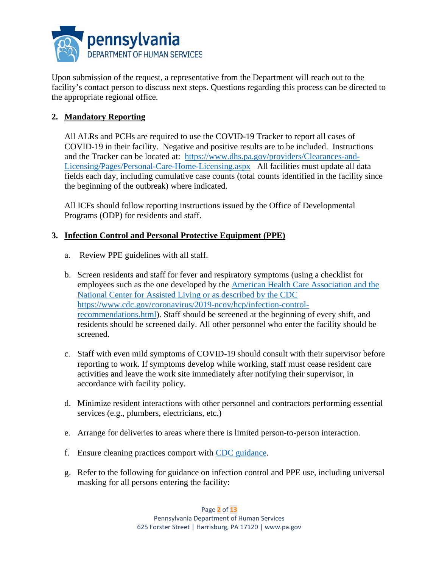

Upon submission of the request, a representative from the Department will reach out to the facility's contact person to discuss next steps. Questions regarding this process can be directed to the appropriate regional office.

# **2. Mandatory Reporting**

All ALRs and PCHs are required to use the COVID-19 Tracker to report all cases of COVID-19 in their facility. Negative and positive results are to be included. Instructions and the Tracker can be located at: [https://www.dhs.pa.gov/providers/Clearances-and-](https://www.dhs.pa.gov/providers/Clearances-and-Licensing/Pages/Personal-Care-Home-Licensing.aspx)[Licensing/Pages/Personal-Care-Home-Licensing.aspx](https://www.dhs.pa.gov/providers/Clearances-and-Licensing/Pages/Personal-Care-Home-Licensing.aspx) All facilities must update all data fields each day, including cumulative case counts (total counts identified in the facility since the beginning of the outbreak) where indicated.

All ICFs should follow reporting instructions issued by the Office of Developmental Programs (ODP) for residents and staff.

## **3. Infection Control and Personal Protective Equipment (PPE)**

- a. Review PPE guidelines with all staff.
- b. Screen residents and staff for fever and respiratory symptoms (using a checklist for employees such as the one developed by the [American Health Care Association and the](https://www.ahcancal.org/facility_operations/disaster_planning/Documents/COVID19-Screening-Checklist-SNF-Visitors.pdf)  [National Center for Assisted Living](https://www.ahcancal.org/facility_operations/disaster_planning/Documents/COVID19-Screening-Checklist-SNF-Visitors.pdf) or as described by the CDC https://www.cdc.gov/coronavirus/2019-ncov/hcp/infection-controlrecommendations.html). Staff should be screened at the beginning of every shift, and residents should be screened daily. All other personnel who enter the facility should be screened.
- c. Staff with even mild symptoms of COVID-19 should consult with their supervisor before reporting to work. If symptoms develop while working, staff must cease resident care activities and leave the work site immediately after notifying their supervisor, in accordance with facility policy.
- d. Minimize resident interactions with other personnel and contractors performing essential services (e.g., plumbers, electricians, etc.)
- e. Arrange for deliveries to areas where there is limited person-to-person interaction.
- f. Ensure cleaning practices comport with [CDC guidance.](https://www.cdc.gov/coronavirus/2019-ncov/community/organizations/cleaning-disinfection.html)
- g. Refer to the following for guidance on infection control and PPE use, including universal masking for all persons entering the facility: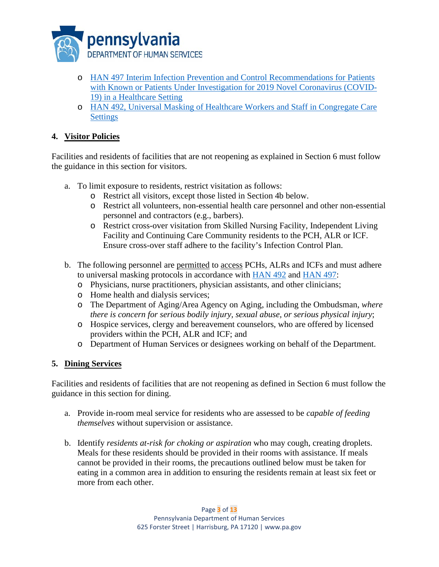

- o [HAN 497 Interim Infection Prevention and Control Recommendations for Patients](https://www.health.pa.gov/topics/Documents/HAN/2020-PAHAN-497-04-16-UPD-UPDATE_Univ.pdf)  [with Known or Patients Under Investigation for 2019 Novel Coronavirus \(COVID-](https://www.health.pa.gov/topics/Documents/HAN/2020-PAHAN-497-04-16-UPD-UPDATE_Univ.pdf)[19\) in a Healthcare Setting](https://www.health.pa.gov/topics/Documents/HAN/2020-PAHAN-497-04-16-UPD-UPDATE_Univ.pdf)
- o [HAN 492, Universal Masking of Healthcare Workers and Staff in Congregate Care](https://www.health.pa.gov/topics/Documents/HAN/2020-PAHAN-492-04-03-ALT-Universal%20Masking.pdf)  **[Settings](https://www.health.pa.gov/topics/Documents/HAN/2020-PAHAN-492-04-03-ALT-Universal%20Masking.pdf)**

# **4. Visitor Policies**

Facilities and residents of facilities that are not reopening as explained in Section 6 must follow the guidance in this section for visitors.

- a. To limit exposure to residents, restrict visitation as follows:
	- o Restrict all visitors, except those listed in Section 4b below.
	- o Restrict all volunteers, non-essential health care personnel and other non-essential personnel and contractors (e.g., barbers).
	- o Restrict cross-over visitation from Skilled Nursing Facility, Independent Living Facility and Continuing Care Community residents to the PCH, ALR or ICF. Ensure cross-over staff adhere to the facility's Infection Control Plan.
- b. The following personnel are permitted to access PCHs, ALRs and ICFs and must adhere to universal masking protocols in accordance with [HAN 492](https://www.health.pa.gov/topics/Documents/HAN/2020-PAHAN-492-04-03-ALT-Universal%20Masking.pdf) and [HAN 497:](https://www.health.pa.gov/topics/Documents/HAN/2020-PAHAN-497-04-16-UPD-UPDATE_Univ.pdf)
	- o Physicians, nurse practitioners, physician assistants, and other clinicians;
	- o Home health and dialysis services;
	- o The Department of Aging/Area Agency on Aging, including the Ombudsman, *where there is concern for serious bodily injury, sexual abuse, or serious physical injury*;
	- o Hospice services, clergy and bereavement counselors, who are offered by licensed providers within the PCH, ALR and ICF; and
	- o Department of Human Services or designees working on behalf of the Department.

## **5. Dining Services**

Facilities and residents of facilities that are not reopening as defined in Section 6 must follow the guidance in this section for dining.

- a. Provide in-room meal service for residents who are assessed to be *capable of feeding themselves* without supervision or assistance.
- b. Identify *residents at-risk for choking or aspiration* who may cough, creating droplets. Meals for these residents should be provided in their rooms with assistance. If meals cannot be provided in their rooms, the precautions outlined below must be taken for eating in a common area in addition to ensuring the residents remain at least six feet or more from each other.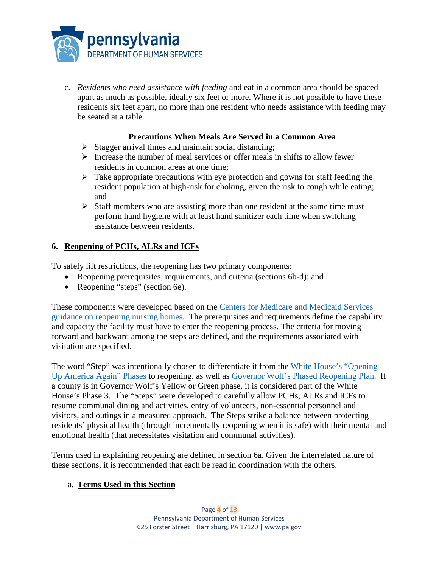

c. *Residents who need assistance with feeding* and eat in a common area should be spaced apart as much as possible, ideally six feet or more. Where it is not possible to have these residents six feet apart, no more than one resident who needs assistance with feeding may be seated at a table.

#### **Precautions When Meals Are Served in a Common Area**

- $\triangleright$  Stagger arrival times and maintain social distancing;
- $\triangleright$  Increase the number of meal services or offer meals in shifts to allow fewer residents in common areas at one time;
- $\triangleright$  Take appropriate precautions with eye protection and gowns for staff feeding the resident population at high-risk for choking, given the risk to cough while eating; and
- $\triangleright$  Staff members who are assisting more than one resident at the same time must perform hand hygiene with at least hand sanitizer each time when switching assistance between residents.

## **6. Reopening of PCHs, ALRs and ICFs**

To safely lift restrictions, the reopening has two primary components:

- Reopening prerequisites, requirements, and criteria (sections 6b-d); and
- Reopening "steps" (section 6e).

These components were developed based on the [Centers for Medicare and Medicaid Services](https://www.cms.gov/files/document/covid-nursing-home-reopening-recommendation-faqs.pdf)  [guidance on reopening nursing homes.](https://www.cms.gov/files/document/covid-nursing-home-reopening-recommendation-faqs.pdf) The prerequisites and requirements define the capability and capacity the facility must have to enter the reopening process. The criteria for moving forward and backward among the steps are defined, and the requirements associated with visitation are specified.

The word "Step" was intentionally chosen to differentiate it from the [White House's "Opening](https://www.whitehouse.gov/openingamerica/)  [Up America Again" Phases](https://www.whitehouse.gov/openingamerica/) to reopening, as well as [Governor Wolf's Phased Reopening Plan.](https://www.governor.pa.gov/process-to-reopen-pennsylvania/) If a county is in Governor Wolf's Yellow or Green phase, it is considered part of the White House's Phase 3. The "Steps" were developed to carefully allow PCHs, ALRs and ICFs to resume communal dining and activities, entry of volunteers, non-essential personnel and visitors, and outings in a measured approach. The Steps strike a balance between protecting residents' physical health (through incrementally reopening when it is safe) with their mental and emotional health (that necessitates visitation and communal activities).

Terms used in explaining reopening are defined in section 6a. Given the interrelated nature of these sections, it is recommended that each be read in coordination with the others.

#### a. **Terms Used in this Section**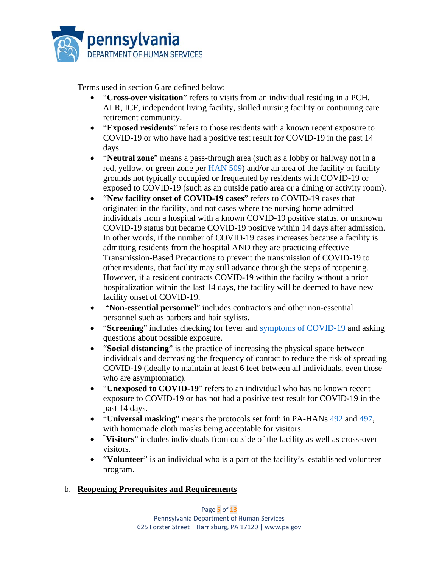

Terms used in section 6 are defined below:

- "**Cross-over visitation**" refers to visits from an individual residing in a PCH, ALR, ICF, independent living facility, skilled nursing facility or continuing care retirement community.
- "**Exposed residents**" refers to those residents with a known recent exposure to COVID-19 or who have had a positive test result for COVID-19 in the past 14 days.
- "**Neutral zone**" means a pass-through area (such as a lobby or hallway not in a red, yellow, or green zone per [HAN 509\)](https://www.health.pa.gov/topics/Documents/HAN/2020-PAHAN-509-UPDATE-Testing%20LTCF.pdf) and/or an area of the facility or facility grounds not typically occupied or frequented by residents with COVID-19 or exposed to COVID-19 (such as an outside patio area or a dining or activity room).
- "**New facility onset of COVID-19 cases**" refers to COVID-19 cases that originated in the facility, and not cases where the nursing home admitted individuals from a hospital with a known COVID-19 positive status, or unknown COVID-19 status but became COVID-19 positive within 14 days after admission. In other words, if the number of COVID-19 cases increases because a facility is admitting residents from the hospital AND they are practicing effective Transmission-Based Precautions to prevent the transmission of COVID-19 to other residents, that facility may still advance through the steps of reopening. However, if a resident contracts COVID-19 within the facilty without a prior hospitalization within the last 14 days, the facility will be deemed to have new facility onset of COVID-19.
- "**Non-essential personnel**" includes contractors and other non-essential personnel such as barbers and hair stylists.
- **"Screening"** includes checking for fever and [symptoms of COVID-19](https://www.cdc.gov/coronavirus/2019-ncov/symptoms-testing/symptoms.html?CDC_AA_refVal=https%3A%2F%2Fwww.cdc.gov%2Fcoronavirus%2F2019-ncov%2Fabout%2Fsymptoms.html) and asking questions about possible exposure.
- "**Social distancing**" is the practice of increasing the physical space between individuals and decreasing the frequency of contact to reduce the risk of spreading COVID-19 (ideally to maintain at least 6 feet between all individuals, even those who are asymptomatic).
- "**Unexposed to COVID-19**" refers to an individual who has no known recent exposure to COVID-19 or has not had a positive test result for COVID-19 in the past 14 days.
- "**Universal masking**" means the protocols set forth in PA-HANs [492](https://www.health.pa.gov/topics/Documents/HAN/2020-PAHAN-492-04-03-ALT-Universal%20Masking.pdf) and [497,](https://www.health.pa.gov/topics/Documents/HAN/2020-PAHAN-497-04-16-UPD-UPDATE_Univ.pdf) with homemade cloth masks being acceptable for visitors.
- " **Visitors**" includes individuals from outside of the facility as well as cross-over visitors.
- "**Volunteer**" is an individual who is a part of the facility's established volunteer program.

# b. **Reopening Prerequisites and Requirements**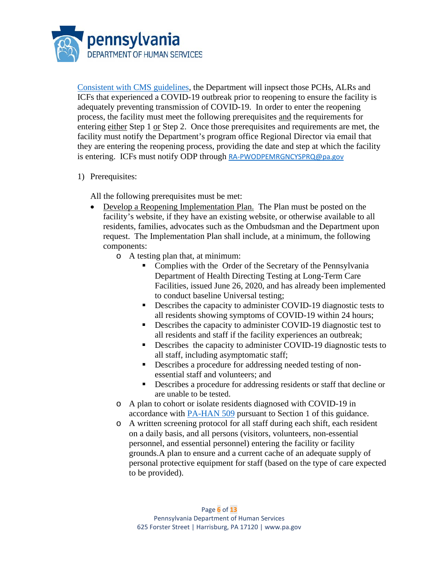

Consistent with [CMS guidelines,](https://www.cms.gov/files/document/qso-20-30-nh.pdf) the Department will inpsect those PCHs, ALRs and ICFs that experienced a COVID-19 outbreak prior to reopening to ensure the facility is adequately preventing transmission of COVID-19. In order to enter the reopening process, the facility must meet the following prerequisites and the requirements for entering either Step 1 or Step 2. Once those prerequisites and requirements are met, the facility must notify the Department's program office Regional Director via email that they are entering the reopening process, providing the date and step at which the facility is entering. ICFs must notify ODP through [RA-PWODPEMRGNCYSPRQ@pa.gov](mailto:RA-PWODPEMRGNCYSPRQ@pa.gov)

1) Prerequisites:

All the following prerequisites must be met:

- Develop a Reopening Implementation Plan. The Plan must be posted on the facility's website, if they have an existing website, or otherwise available to all residents, families, advocates such as the Ombudsman and the Department upon request. The Implementation Plan shall include, at a minimum, the following components:
	- o A testing plan that, at minimum:
		- Complies with the Order of the Secretary of the Pennsylvania Department of Health Directing Testing at Long-Term Care Facilities, issued June 26, 2020, and has already been implemented to conduct baseline Universal testing;
		- Describes the capacity to administer COVID-19 diagnostic tests to all residents showing symptoms of COVID-19 within 24 hours;
		- Describes the capacity to administer COVID-19 diagnostic test to all residents and staff if the facility experiences an outbreak;
		- Describes the capacity to administer COVID-19 diagnostic tests to all staff, including asymptomatic staff;
		- Describes a procedure for addressing needed testing of nonessential staff and volunteers; and
		- Describes a procedure for addressing residents or staff that decline or are unable to be tested.
	- o A plan to cohort or isolate residents diagnosed with COVID-19 in accordance with [PA-HAN 509](https://www.health.pa.gov/topics/Documents/HAN/2020-PAHAN-509-UPDATE-Testing%20LTCF.pdf) pursuant to Section 1 of this guidance.
	- o A written screening protocol for all staff during each shift, each resident on a daily basis, and all persons (visitors, volunteers, non-essential personnel, and essential personnel) entering the facility or facility grounds.A plan to ensure and a current cache of an adequate supply of personal protective equipment for staff (based on the type of care expected to be provided).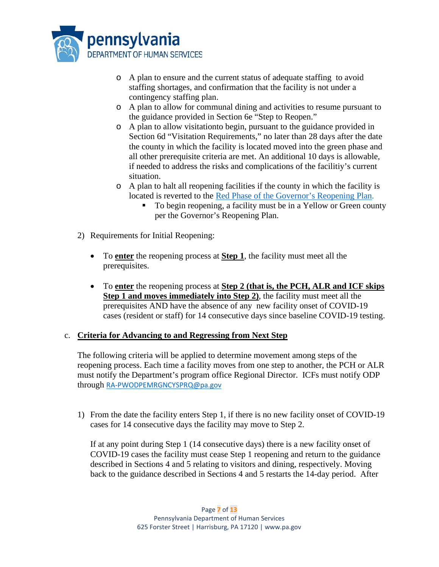

- o A plan to ensure and the current status of adequate staffing to avoid staffing shortages, and confirmation that the facility is not under a contingency staffing plan.
- o A plan to allow for communal dining and activities to resume pursuant to the guidance provided in Section 6e "Step to Reopen."
- o A plan to allow visitationto begin, pursuant to the guidance provided in Section 6d "Visitation Requirements," no later than 28 days after the date the county in which the facility is located moved into the green phase and all other prerequisite criteria are met. An additional 10 days is allowable, if needed to address the risks and complications of the facilitiy's current situation.
- o A plan to halt all reopening facilities if the county in which the facility is located is reverted to the [Red Phase of the Governor's Reopening Plan.](https://www.governor.pa.gov/process-to-reopen-pennsylvania/)
	- To begin reopening, a facility must be in a Yellow or Green county per the Governor's Reopening Plan.
- 2) Requirements for Initial Reopening:
	- To **enter** the reopening process at **Step 1**, the facility must meet all the prerequisites.
	- To **enter** the reopening process at **Step 2 (that is, the PCH, ALR and ICF skips Step 1 and moves immediately into Step 2)**, the facility must meet all the prerequisites AND have the absence of any new facility onset of COVID-19 cases (resident or staff) for 14 consecutive days since baseline COVID-19 testing.

## c. **Criteria for Advancing to and Regressing from Next Step**

The following criteria will be applied to determine movement among steps of the reopening process. Each time a facility moves from one step to another, the PCH or ALR must notify the Department's program office Regional Director. ICFs must notify ODP through [RA-PWODPEMRGNCYSPRQ@pa.gov](mailto:RA-PWODPEMRGNCYSPRQ@pa.gov)

1) From the date the facility enters Step 1, if there is no new facility onset of COVID-19 cases for 14 consecutive days the facility may move to Step 2.

If at any point during Step 1 (14 consecutive days) there is a new facility onset of COVID-19 cases the facility must cease Step 1 reopening and return to the guidance described in Sections 4 and 5 relating to visitors and dining, respectively. Moving back to the guidance described in Sections 4 and 5 restarts the 14-day period. After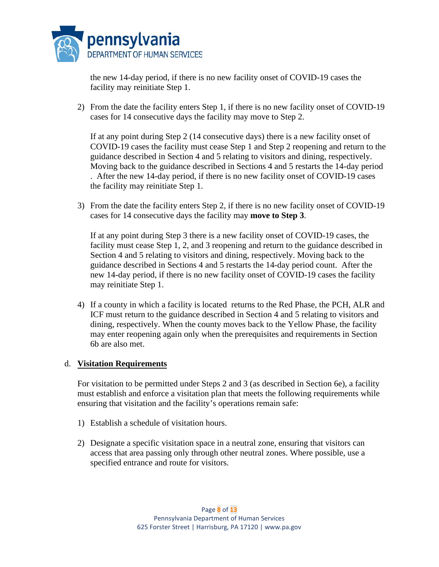

the new 14-day period, if there is no new facility onset of COVID-19 cases the facility may reinitiate Step 1.

2) From the date the facility enters Step 1, if there is no new facility onset of COVID-19 cases for 14 consecutive days the facility may move to Step 2.

If at any point during Step 2 (14 consecutive days) there is a new facility onset of COVID-19 cases the facility must cease Step 1 and Step 2 reopening and return to the guidance described in Section 4 and 5 relating to visitors and dining, respectively. Moving back to the guidance described in Sections 4 and 5 restarts the 14-day period . After the new 14-day period, if there is no new facility onset of COVID-19 cases the facility may reinitiate Step 1.

3) From the date the facility enters Step 2, if there is no new facility onset of COVID-19 cases for 14 consecutive days the facility may **move to Step 3**.

If at any point during Step 3 there is a new facility onset of COVID-19 cases, the facility must cease Step 1, 2, and 3 reopening and return to the guidance described in Section 4 and 5 relating to visitors and dining, respectively. Moving back to the guidance described in Sections 4 and 5 restarts the 14-day period count. After the new 14-day period, if there is no new facility onset of COVID-19 cases the facility may reinitiate Step 1.

4) If a county in which a facility is located returns to the Red Phase, the PCH, ALR and ICF must return to the guidance described in Section 4 and 5 relating to visitors and dining, respectively. When the county moves back to the Yellow Phase, the facility may enter reopening again only when the prerequisites and requirements in Section 6b are also met.

#### d. **Visitation Requirements**

For visitation to be permitted under Steps 2 and 3 (as described in Section 6e), a facility must establish and enforce a visitation plan that meets the following requirements while ensuring that visitation and the facility's operations remain safe:

- 1) Establish a schedule of visitation hours.
- 2) Designate a specific visitation space in a neutral zone, ensuring that visitors can access that area passing only through other neutral zones. Where possible, use a specified entrance and route for visitors.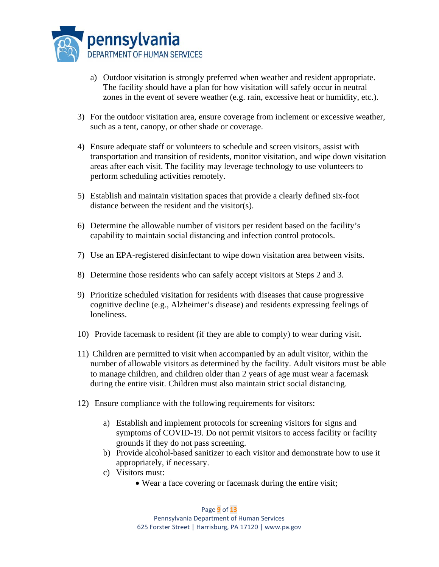

- a) Outdoor visitation is strongly preferred when weather and resident appropriate. The facility should have a plan for how visitation will safely occur in neutral zones in the event of severe weather (e.g. rain, excessive heat or humidity, etc.).
- 3) For the outdoor visitation area, ensure coverage from inclement or excessive weather, such as a tent, canopy, or other shade or coverage.
- 4) Ensure adequate staff or volunteers to schedule and screen visitors, assist with transportation and transition of residents, monitor visitation, and wipe down visitation areas after each visit. The facility may leverage technology to use volunteers to perform scheduling activities remotely.
- 5) Establish and maintain visitation spaces that provide a clearly defined six-foot distance between the resident and the visitor(s).
- 6) Determine the allowable number of visitors per resident based on the facility's capability to maintain social distancing and infection control protocols.
- 7) Use an EPA-registered disinfectant to wipe down visitation area between visits.
- 8) Determine those residents who can safely accept visitors at Steps 2 and 3.
- 9) Prioritize scheduled visitation for residents with diseases that cause progressive cognitive decline (e.g., Alzheimer's disease) and residents expressing feelings of loneliness.
- 10) Provide facemask to resident (if they are able to comply) to wear during visit.
- 11) Children are permitted to visit when accompanied by an adult visitor, within the number of allowable visitors as determined by the facility. Adult visitors must be able to manage children, and children older than 2 years of age must wear a facemask during the entire visit. Children must also maintain strict social distancing.
- 12) Ensure compliance with the following requirements for visitors:
	- a) Establish and implement protocols for screening visitors for signs and symptoms of COVID-19. Do not permit visitors to access facility or facility grounds if they do not pass screening.
	- b) Provide alcohol-based sanitizer to each visitor and demonstrate how to use it appropriately, if necessary.
	- c) Visitors must:
		- Wear a face covering or facemask during the entire visit;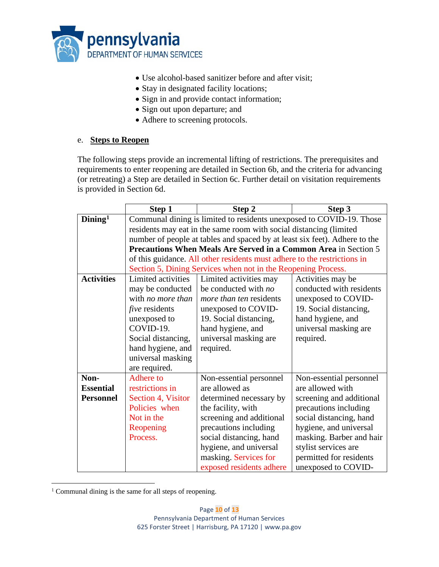

- Use alcohol-based sanitizer before and after visit;
- Stay in designated facility locations;
- Sign in and provide contact information;
- Sign out upon departure; and
- Adhere to screening protocols.

#### e. **Steps to Reopen**

The following steps provide an incremental lifting of restrictions. The prerequisites and requirements to enter reopening are detailed in Section 6b, and the criteria for advancing (or retreating) a Step are detailed in Section 6c. Further detail on visitation requirements is provided in Section 6d.

|                        | Step 1                                                                     | Step 2                   | Step 3                   |  |
|------------------------|----------------------------------------------------------------------------|--------------------------|--------------------------|--|
| $Dim$ ing <sup>1</sup> | Communal dining is limited to residents unexposed to COVID-19. Those       |                          |                          |  |
|                        | residents may eat in the same room with social distancing (limited         |                          |                          |  |
|                        | number of people at tables and spaced by at least six feet). Adhere to the |                          |                          |  |
|                        | Precautions When Meals Are Served in a Common Area in Section 5            |                          |                          |  |
|                        | of this guidance. All other residents must adhere to the restrictions in   |                          |                          |  |
|                        | Section 5, Dining Services when not in the Reopening Process.              |                          |                          |  |
| <b>Activities</b>      | Limited activities                                                         | Limited activities may   | Activities may be        |  |
|                        | may be conducted                                                           | be conducted with no     | conducted with residents |  |
|                        | with no more than                                                          | more than ten residents  | unexposed to COVID-      |  |
|                        | <i>five</i> residents                                                      | unexposed to COVID-      | 19. Social distancing,   |  |
|                        | unexposed to                                                               | 19. Social distancing,   | hand hygiene, and        |  |
|                        | COVID-19.                                                                  | hand hygiene, and        | universal masking are    |  |
|                        | Social distancing,                                                         | universal masking are    | required.                |  |
|                        | hand hygiene, and                                                          | required.                |                          |  |
|                        | universal masking                                                          |                          |                          |  |
|                        | are required.                                                              |                          |                          |  |
| Non-                   | Adhere to                                                                  | Non-essential personnel  | Non-essential personnel  |  |
| <b>Essential</b>       | restrictions in                                                            | are allowed as           | are allowed with         |  |
| <b>Personnel</b>       | Section 4, Visitor                                                         | determined necessary by  | screening and additional |  |
|                        | Policies when                                                              | the facility, with       | precautions including    |  |
|                        | Not in the                                                                 | screening and additional | social distancing, hand  |  |
|                        | Reopening                                                                  | precautions including    | hygiene, and universal   |  |
|                        | Process.                                                                   | social distancing, hand  | masking. Barber and hair |  |
|                        |                                                                            | hygiene, and universal   | stylist services are     |  |
|                        |                                                                            | masking. Services for    | permitted for residents  |  |
|                        |                                                                            | exposed residents adhere | unexposed to COVID-      |  |

<span id="page-9-0"></span><sup>&</sup>lt;sup>1</sup> Communal dining is the same for all steps of reopening.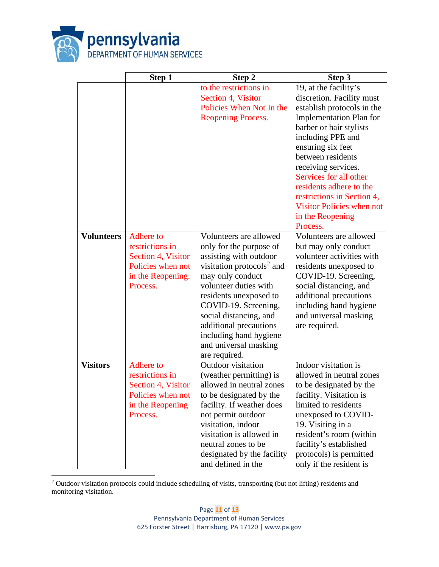

|                   | Step 1                                                                                                   | Step 2                                                                                                                                                                                                                                                                                                                                      | Step 3                                                                                                                                                                                                                                                                                                                                                                                     |
|-------------------|----------------------------------------------------------------------------------------------------------|---------------------------------------------------------------------------------------------------------------------------------------------------------------------------------------------------------------------------------------------------------------------------------------------------------------------------------------------|--------------------------------------------------------------------------------------------------------------------------------------------------------------------------------------------------------------------------------------------------------------------------------------------------------------------------------------------------------------------------------------------|
|                   |                                                                                                          | to the restrictions in<br>Section 4, Visitor<br>Policies When Not In the<br>Reopening Process.                                                                                                                                                                                                                                              | 19, at the facility's<br>discretion. Facility must<br>establish protocols in the<br><b>Implementation Plan for</b><br>barber or hair stylists<br>including PPE and<br>ensuring six feet<br>between residents<br>receiving services.<br>Services for all other<br>residents adhere to the<br>restrictions in Section 4,<br><b>Visitor Policies when not</b><br>in the Reopening<br>Process. |
| <b>Volunteers</b> | Adhere to<br>restrictions in<br>Section 4, Visitor<br>Policies when not<br>in the Reopening.<br>Process. | Volunteers are allowed<br>only for the purpose of<br>assisting with outdoor<br>visitation protocols <sup>2</sup> and<br>may only conduct<br>volunteer duties with<br>residents unexposed to<br>COVID-19. Screening,<br>social distancing, and<br>additional precautions<br>including hand hygiene<br>and universal masking<br>are required. | Volunteers are allowed<br>but may only conduct<br>volunteer activities with<br>residents unexposed to<br>COVID-19. Screening,<br>social distancing, and<br>additional precautions<br>including hand hygiene<br>and universal masking<br>are required.                                                                                                                                      |
| <b>Visitors</b>   | Adhere to<br>restrictions in<br>Section 4, Visitor<br>Policies when not<br>in the Reopening<br>Process.  | Outdoor visitation<br>(weather permitting) is<br>allowed in neutral zones<br>to be designated by the<br>facility. If weather does<br>not permit outdoor<br>visitation, indoor<br>visitation is allowed in<br>neutral zones to be<br>designated by the facility<br>and defined in the                                                        | Indoor visitation is<br>allowed in neutral zones<br>to be designated by the<br>facility. Visitation is<br>limited to residents<br>unexposed to COVID-<br>19. Visiting in a<br>resident's room (within<br>facility's established<br>protocols) is permitted<br>only if the resident is                                                                                                      |

<span id="page-10-0"></span><sup>2</sup> Outdoor visitation protocols could include scheduling of visits, transporting (but not lifting) residents and monitoring visitation.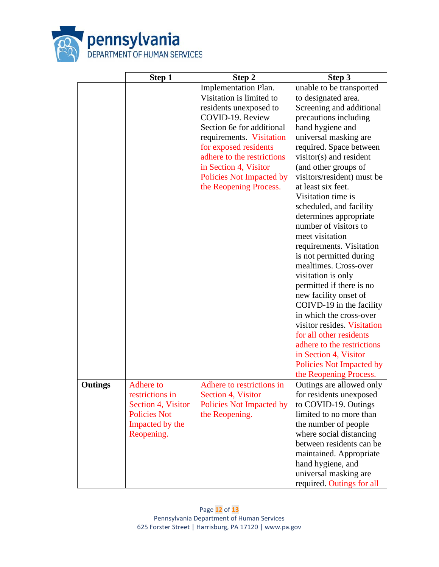

|                | Step 1              | Step 2                     | Step 3                                            |
|----------------|---------------------|----------------------------|---------------------------------------------------|
|                |                     | Implementation Plan.       | unable to be transported                          |
|                |                     | Visitation is limited to   | to designated area.                               |
|                |                     | residents unexposed to     | Screening and additional                          |
|                |                     | COVID-19. Review           | precautions including                             |
|                |                     | Section 6e for additional  | hand hygiene and                                  |
|                |                     | requirements. Visitation   | universal masking are                             |
|                |                     | for exposed residents      | required. Space between                           |
|                |                     | adhere to the restrictions | visitor(s) and resident                           |
|                |                     | in Section 4, Visitor      | (and other groups of                              |
|                |                     | Policies Not Impacted by   | visitors/resident) must be                        |
|                |                     | the Reopening Process.     | at least six feet.                                |
|                |                     |                            | Visitation time is                                |
|                |                     |                            | scheduled, and facility                           |
|                |                     |                            | determines appropriate                            |
|                |                     |                            | number of visitors to                             |
|                |                     |                            | meet visitation                                   |
|                |                     |                            | requirements. Visitation                          |
|                |                     |                            | is not permitted during                           |
|                |                     |                            | mealtimes. Cross-over                             |
|                |                     |                            | visitation is only                                |
|                |                     |                            | permitted if there is no                          |
|                |                     |                            | new facility onset of                             |
|                |                     |                            | COIVD-19 in the facility                          |
|                |                     |                            | in which the cross-over                           |
|                |                     |                            | visitor resides. Visitation                       |
|                |                     |                            | for all other residents                           |
|                |                     |                            | adhere to the restrictions                        |
|                |                     |                            | in Section 4, Visitor<br>Policies Not Impacted by |
|                |                     |                            | the Reopening Process.                            |
| <b>Outings</b> | <b>Adhere</b> to    | Adhere to restrictions in  | Outings are allowed only                          |
|                | restrictions in     | Section 4, Visitor         | for residents unexposed                           |
|                | Section 4, Visitor  | Policies Not Impacted by   | to COVID-19. Outings                              |
|                | <b>Policies Not</b> | the Reopening.             | limited to no more than                           |
|                | Impacted by the     |                            | the number of people                              |
|                | Reopening.          |                            | where social distancing                           |
|                |                     |                            | between residents can be                          |
|                |                     |                            | maintained. Appropriate                           |
|                |                     |                            | hand hygiene, and                                 |
|                |                     |                            | universal masking are                             |
|                |                     |                            | required. Outings for all                         |